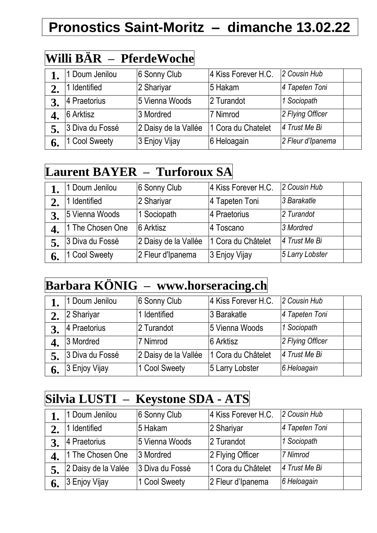# **Pronostics Saint-Moritz – dimanche 13.02.22**

### **Willi BÄR – PferdeWoche**

|    | 1 Doum Jenilou  | 6 Sonny Club         | 4 Kiss Forever H.C. | 2 Cousin Hub      |  |
|----|-----------------|----------------------|---------------------|-------------------|--|
|    | 1 Identified    | 2 Shariyar           | 5 Hakam             | 4 Tapeten Toni    |  |
|    | 4 Praetorius    | 5 Vienna Woods       | 2 Turandot          | 1 Sociopath       |  |
|    | 6 Arktisz       | 3 Mordred            | 7 Nimrod            | 2 Flying Officer  |  |
|    | 3 Diva du Fossé | 2 Daisy de la Vallée | 1 Cora du Chatelet  | 4 Trust Me Bi     |  |
| 6. | 1 Cool Sweety   | 3 Enjoy Vijay        | 6 Heloagain         | 2 Fleur d'Ipanema |  |

# **Laurent BAYER – Turforoux SA**

|    | 1 Doum Jenilou   | 6 Sonny Club         | 4 Kiss Forever H.C. | 2 Cousin Hub    |  |
|----|------------------|----------------------|---------------------|-----------------|--|
|    | Identified       | 2 Shariyar           | 4 Tapeten Toni      | 3 Barakatle     |  |
|    | 5 Vienna Woods   | 1 Sociopath          | 4 Praetorius        | 2 Turandot      |  |
|    | 1 The Chosen One | 6 Arktisz            | 4 Toscano           | 3 Mordred       |  |
|    | 3 Diva du Fossé  | 2 Daisy de la Vallée | 1 Cora du Châtelet  | 4 Trust Me Bi   |  |
| 6. | 1 Cool Sweety    | 2 Fleur d'Ipanema    | 3 Enjoy Vijay       | 5 Larry Lobster |  |

#### **Barbara KÖNIG – www.horseracing.ch**

|    | 1 Doum Jenilou  | 6 Sonny Club         | 4 Kiss Forever H.C. | 2 Cousin Hub     |  |
|----|-----------------|----------------------|---------------------|------------------|--|
|    | 2 Shariyar      | Identified           | 3 Barakatle         | 4 Tapeten Toni   |  |
|    | 4 Praetorius    | 2 Turandot           | 5 Vienna Woods      | 1 Sociopath      |  |
|    | 3 Mordred       | 7 Nimrod             | 6 Arktisz           | 2 Flying Officer |  |
|    | 3 Diva du Fossé | 2 Daisy de la Vallée | 1 Cora du Châtelet  | 4 Trust Me Bi    |  |
| 6. | 3 Enjoy Vijay   | 1 Cool Sweety        | 5 Larry Lobster     | 6 Heloagain      |  |

#### **Silvia LUSTI – Keystone SDA - ATS**

|    | 1 Doum Jenilou      | 6 Sonny Club    | 4 Kiss Forever H.C. | 2 Cousin Hub   |  |
|----|---------------------|-----------------|---------------------|----------------|--|
| 2. | 1 Identified        | 5 Hakam         | 2 Shariyar          | 4 Tapeten Toni |  |
| 3. | 4 Praetorius        | 5 Vienna Woods  | 2 Turandot          | 1 Sociopath    |  |
|    | 1 The Chosen One    | 3 Mordred       | 2 Flying Officer    | 7 Nimrod       |  |
|    | 2 Daisy de la Valée | 3 Diva du Fossé | 1 Cora du Châtelet  | 4 Trust Me Bi  |  |
| 6. | 3 Enjoy Vijay       | 1 Cool Sweety   | 2 Fleur d'Ipanema   | 6 Heloagain    |  |